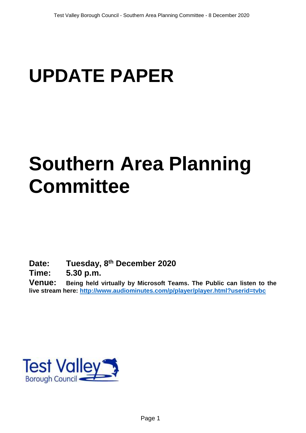# **UPDATE PAPER**

## **Southern Area Planning Committee**

**Date: Tuesday, 8 th December 2020**

**Time: 5.30 p.m.**

**Venue: Being held virtually by Microsoft Teams. The Public can listen to the live stream here:<http://www.audiominutes.com/p/player/player.html?userid=tvbc>**

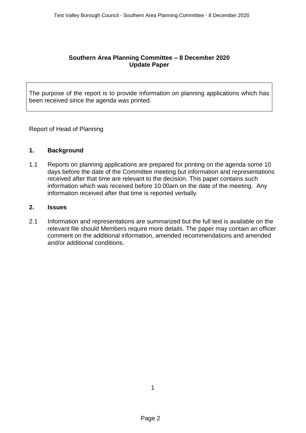#### **Southern Area Planning Committee – 8 December 2020 Update Paper**

The purpose of the report is to provide information on planning applications which has been received since the agenda was printed.

Report of Head of Planning

#### **1. Background**

1.1 Reports on planning applications are prepared for printing on the agenda some 10 days before the date of the Committee meeting but information and representations received after that time are relevant to the decision. This paper contains such information which was received before 10.00am on the date of the meeting. Any information received after that time is reported verbally.

#### **2. Issues**

2.1 Information and representations are summarized but the full text is available on the relevant file should Members require more details. The paper may contain an officer comment on the additional information, amended recommendations and amended and/or additional conditions.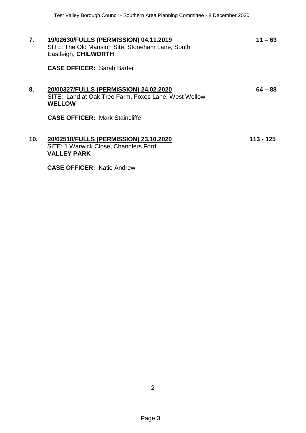| 7.  | 19/02630/FULLS (PERMISSION) 04.11.2019<br>SITE: The Old Mansion Site, Stoneham Lane, South<br>Eastleigh, CHILWORTH | $11 - 63$ |
|-----|--------------------------------------------------------------------------------------------------------------------|-----------|
|     | <b>CASE OFFICER: Sarah Barter</b>                                                                                  |           |
| 8.  | 20/00327/FULLS (PERMISSION) 24.02.2020<br>SITE: Land at Oak Tree Farm, Foxes Lane, West Wellow,<br><b>WELLOW</b>   | $64 - 88$ |
|     | <b>CASE OFFICER: Mark Staincliffe</b>                                                                              |           |
| 10. | 20/02518/FULLS (PERMISSION) 23.10.2020<br>SITE: 1 Warwick Close, Chandlers Ford,<br><b>VALLEY PARK</b>             | 113 - 125 |
|     | <b>CASE OFFICER: Katie Andrew</b>                                                                                  |           |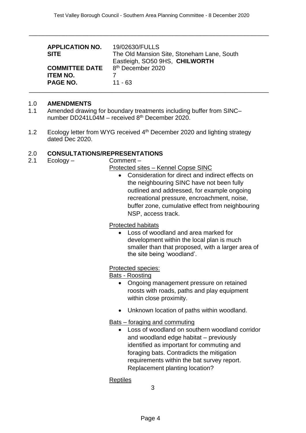\_\_\_\_\_\_\_\_\_\_\_\_\_\_\_\_\_\_\_\_\_\_\_\_\_\_\_\_\_\_\_\_\_\_\_\_\_\_\_\_\_\_\_\_\_\_\_\_\_\_\_\_\_\_\_\_\_\_\_\_\_\_\_\_\_\_\_\_\_\_

| <b>SITE</b>                                                                                            | The Old Mansion Site, Stoneham Lane, South<br>Eastleigh, SO50 9HS, CHILWORTH |
|--------------------------------------------------------------------------------------------------------|------------------------------------------------------------------------------|
| <b>COMMITTEE DATE</b> 8 <sup>th</sup> December 2020<br><b>ITEM NO.</b><br><b>PAGE NO.</b><br>$11 - 63$ |                                                                              |

#### 1.0 **AMENDMENTS**

- 1.1 Amended drawing for boundary treatments including buffer from SINC– number DD241L04M – received 8th December 2020.
- 1.2 Ecology letter from WYG received 4<sup>th</sup> December 2020 and lighting strategy dated Dec 2020.

#### 2.0 **CONSULTATIONS/REPRESENTATIONS**

2.1 Ecology – Comment –

Protected sites – Kennel Copse SINC

 Consideration for direct and indirect effects on the neighbouring SINC have not been fully outlined and addressed, for example ongoing recreational pressure, encroachment, noise, buffer zone, cumulative effect from neighbouring NSP, access track.

Protected habitats

 Loss of woodland and area marked for development within the local plan is much smaller than that proposed, with a larger area of the site being 'woodland'.

#### Protected species:

Bats - Roosting

- Ongoing management pressure on retained roosts with roads, paths and play equipment within close proximity.
- Unknown location of paths within woodland.

#### Bats – foraging and commuting

 Loss of woodland on southern woodland corridor and woodland edge habitat – previously identified as important for commuting and foraging bats. Contradicts the mitigation requirements within the bat survey report. Replacement planting location?

#### Reptiles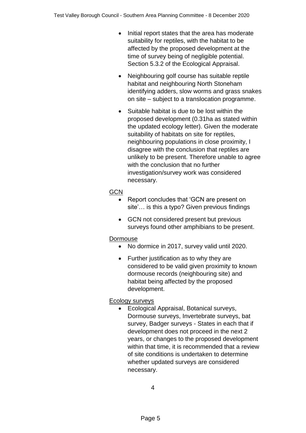- Initial report states that the area has moderate suitability for reptiles, with the habitat to be affected by the proposed development at the time of survey being of negligible potential. Section 5.3.2 of the Ecological Appraisal.
- Neighbouring golf course has suitable reptile habitat and neighbouring North Stoneham identifying adders, slow worms and grass snakes on site – subject to a translocation programme.
- Suitable habitat is due to be lost within the proposed development (0.31ha as stated within the updated ecology letter). Given the moderate suitability of habitats on site for reptiles, neighbouring populations in close proximity, I disagree with the conclusion that reptiles are unlikely to be present. Therefore unable to agree with the conclusion that no further investigation/survey work was considered necessary.

## **GCN**

- Report concludes that 'GCN are present on site'… is this a typo? Given previous findings
- GCN not considered present but previous surveys found other amphibians to be present.

## **Dormouse**

- No dormice in 2017, survey valid until 2020.
- Further justification as to why they are considered to be valid given proximity to known dormouse records (neighbouring site) and habitat being affected by the proposed development.

## Ecology surveys

 Ecological Appraisal, Botanical surveys, Dormouse surveys, Invertebrate surveys, bat survey, Badger surveys - States in each that if development does not proceed in the next 2 years, or changes to the proposed development within that time, it is recommended that a review of site conditions is undertaken to determine whether updated surveys are considered necessary.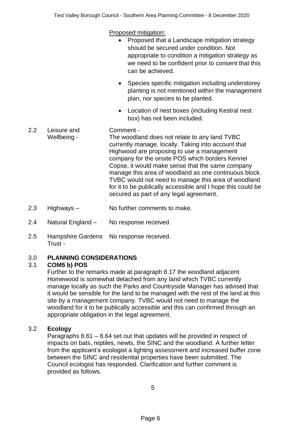Proposed mitigation:

| • Proposed that a Landscape mitigation strategy    |  |
|----------------------------------------------------|--|
| should be secured under condition. Not             |  |
| appropriate to condition a mitigation strategy as  |  |
| we need to be confident prior to consent that this |  |
| can be achieved.                                   |  |

- Species specific mitigation including understorey planting is not mentioned within the management plan, nor species to be planted.
- Location of nest boxes (including Kestral nest box) has not been included.
- 2.2 Leisure and Wellbeing - Comment - The woodland does not relate to any land TVBC currently manage, locally. Taking into account that Highwood are proposing to use a management company for the onsite POS which borders Kennel Copse, it would make sense that the same company manage this area of woodland as one continuous block. TVBC would not need to manage this area of woodland for it to be publically accessible and I hope this could be secured as part of any legal agreement.
- 2.3 Highways No further comments to make.
- 2.4 Natural England No response received.
- 2.5 Hampshire Gardens No response received. Trust -

## 3.0 **PLANNING CONSIDERATIONS**

## 3.1 **COM5 b) POS**

Further to the remarks made at paragraph 8.17 the woodland adjacent Homewood is somewhat detached from any land which TVBC currently manage locally as such the Parks and Countryside Manager has advised that it would be sensible for the land to be managed with the rest of the land at this site by a management company. TVBC would not need to manage the woodland for it to be publically accessible and this can confirmed through an appropriate obligation in the legal agreement.

## 3.2 **Ecology**

Paragraphs 8.61 – 8.64 set out that updates will be provided in respect of impacts on bats, reptiles, newts, the SINC and the woodland. A further letter from the applicant's ecologist a lighting assessment and increased buffer zone between the SINC and residential properties have been submitted. The Council ecologist has responded. Clarification and further comment is provided as follows.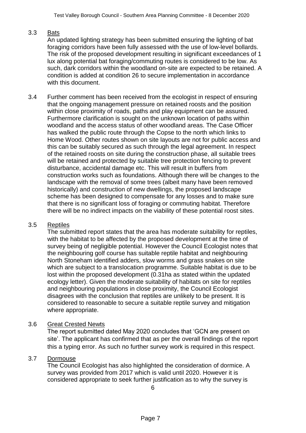## 3.3 Bats

An updated lighting strategy has been submitted ensuring the lighting of bat foraging corridors have been fully assessed with the use of low-level bollards. The risk of the proposed development resulting in significant exceedances of 1 lux along potential bat foraging/commuting routes is considered to be low. As such, dark corridors within the woodland on-site are expected to be retained. A condition is added at condition 26 to secure implementation in accordance with this document.

3.4 Further comment has been received from the ecologist in respect of ensuring that the ongoing management pressure on retained roosts and the position within close proximity of roads, paths and play equipment can be assured. Furthermore clarification is sought on the unknown location of paths within woodland and the access status of other woodland areas. The Case Officer has walked the public route through the Copse to the north which links to Home Wood. Other routes shown on site layouts are not for public access and this can be suitably secured as such through the legal agreement. In respect of the retained roosts on site during the construction phase, all suitable trees will be retained and protected by suitable tree protection fencing to prevent disturbance, accidental damage etc. This will result in buffers from construction works such as foundations. Although there will be changes to the landscape with the removal of some trees (albeit many have been removed historically) and construction of new dwellings, the proposed landscape scheme has been designed to compensate for any losses and to make sure that there is no significant loss of foraging or commuting habitat. Therefore there will be no indirect impacts on the viability of these potential roost sites.

## 3.5 Reptiles

The submitted report states that the area has moderate suitability for reptiles, with the habitat to be affected by the proposed development at the time of survey being of negligible potential. However the Council Ecologist notes that the neighbouring golf course has suitable reptile habitat and neighbouring North Stoneham identified adders, slow worms and grass snakes on site which are subject to a translocation programme. Suitable habitat is due to be lost within the proposed development (0.31ha as stated within the updated ecology letter). Given the moderate suitability of habitats on site for reptiles and neighbouring populations in close proximity, the Council Ecologist disagrees with the conclusion that reptiles are unlikely to be present. It is considered to reasonable to secure a suitable reptile survey and mitigation where appropriate.

#### 3.6 Great Crested Newts

The report submitted dated May 2020 concludes that 'GCN are present on site'. The applicant has confirmed that as per the overall findings of the report this a typing error. As such no further survey work is required in this respect.

#### 3.7 Dormouse

The Council Ecologist has also highlighted the consideration of dormice. A survey was provided from 2017 which is valid until 2020. However it is considered appropriate to seek further justification as to why the survey is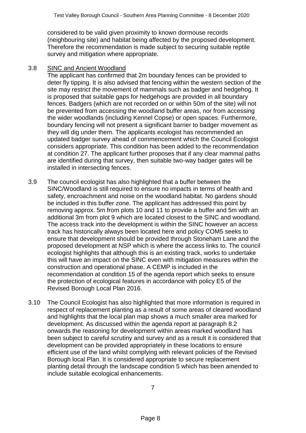considered to be valid given proximity to known dormouse records (neighbouring site) and habitat being affected by the proposed development. Therefore the recommendation is made subject to securing suitable reptile survey and mitigation where appropriate.

#### 3.8 SINC and Ancient Woodland

The applicant has confirmed that 2m boundary fences can be provided to deter fly tipping. It is also advised that fencing within the western section of the site may restrict the movement of mammals such as badger and hedgehog. It is proposed that suitable gaps for hedgehogs are provided in all boundary fences. Badgers (which are not recorded on or within 50m of the site) will not be prevented from accessing the woodland buffer areas, nor from accessing the wider woodlands (including Kennel Copse) or open spaces. Furthermore, boundary fencing will not present a significant barrier to badger movement as they will dig under them. The applicants ecologist has recommended an updated badger survey ahead of commencement which the Council Ecologist considers appropriate. This condition has been added to the recommendation at condition 27. The applicant further proposes that if any clear mammal paths are identified during that survey, then suitable two-way badger gates will be installed in intersecting fences.

- 3.9 The council ecologist has also highlighted that a buffer between the SINC/Woodland is still required to ensure no impacts in terms of health and safety, encroachment and noise on the woodland habitat. No gardens should be included in this buffer zone. The applicant has addressed this point by removing approx. 5m from plots 10 and 11 to provide a buffer and 5m with an additional 3m from plot 9 which are located closest to the SINC and woodland. The access track into the development is within the SINC however an access track has historically always been located here and policy COM5 seeks to ensure that development should be provided through Stoneham Lane and the proposed development at NSP which is where the access links to. The council ecologist highlights that although this is an existing track, works to undertake this will have an impact on the SINC even with mitigation measures within the construction and operational phase. A CEMP is included in the recommendation at condition 15 of the agenda report which seeks to ensure the protection of ecological features in accordance with policy E5 of the Revised Borough Local Plan 2016.
- 3.10 The Council Ecologist has also highlighted that more information is required in respect of replacement planting as a result of some areas of cleared woodland and highlights that the local plan map shows a much smaller area marked for development. As discussed within the agenda report at paragraph 8.2 onwards the reasoning for development within areas marked woodland has been subject to careful scrutiny and survey and as a result it is considered that development can be provided appropriately in these locations to ensure efficient use of the land whilst complying with relevant policies of the Revised Borough local Plan. It is considered appropriate to secure replacement planting detail through the landscape condition 5 which has been amended to include suitable ecological enhancements.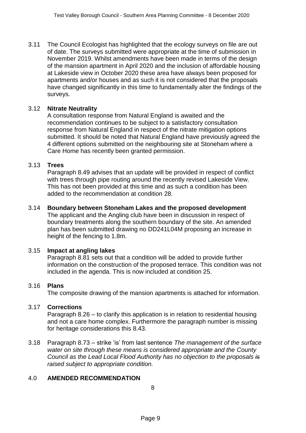3.11 The Council Ecologist has highlighted that the ecology surveys on file are out of date. The surveys submitted were appropriate at the time of submission in November 2019. Whilst amendments have been made in terms of the design of the mansion apartment in April 2020 and the inclusion of affordable housing at Lakeside view in October 2020 these area have always been proposed for apartments and/or houses and as such it is not considered that the proposals have changed significantly in this time to fundamentally alter the findings of the surveys.

#### 3.12 **Nitrate Neutrality**

A consultation response from Natural England is awaited and the recommendation continues to be subject to a satisfactory consultation response from Natural England in respect of the nitrate mitigation options submitted. It should be noted that Natural England have previously agreed the 4 different options submitted on the neighbouring site at Stoneham where a Care Home has recently been granted permission.

#### 3.13 **Trees**

Paragraph 8.49 advises that an update will be provided in respect of conflict with trees through pipe routing around the recently revised Lakeside View. This has not been provided at this time and as such a condition has been added to the recommendation at condition 28.

## 3.14 **Boundary between Stoneham Lakes and the proposed development**

The applicant and the Angling club have been in discussion in respect of boundary treatments along the southern boundary of the site. An amended plan has been submitted drawing no DD241L04M proposing an increase in height of the fencing to 1.8m.

#### 3.15 **Impact at angling lakes**

Paragraph 8.81 sets out that a condition will be added to provide further information on the construction of the proposed terrace. This condition was not included in the agenda. This is now included at condition 25.

#### 3.16 **Plans**

The composite drawing of the mansion apartments is attached for information.

#### 3.17 **Corrections**

Paragraph 8.26 – to clarify this application is in relation to residential housing and not a care home complex. Furthermore the paragraph number is missing for heritage considerations this 8.43.

3.18 Paragraph 8.73 – strike 'is' from last sentence *The management of the surface water on site through these means is considered appropriate and the County Council as the Lead Local Flood Authority has no objection to the proposals is raised subject to appropriate condition.*

#### 4.0 **AMENDED RECOMMENDATION**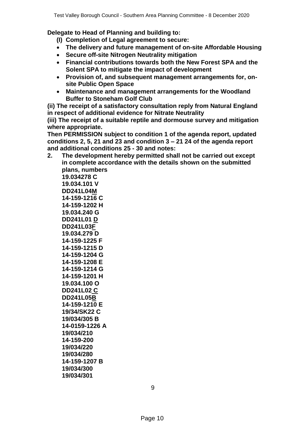**Delegate to Head of Planning and building to:**

**(I) Completion of Legal agreement to secure:**

- **The delivery and future management of on-site Affordable Housing**
- **Secure off-site Nitrogen Neutrality mitigation**
- **Financial contributions towards both the New Forest SPA and the Solent SPA to mitigate the impact of development**
- **Provision of, and subsequent management arrangements for, onsite Public Open Space**
- **Maintenance and management arrangements for the Woodland Buffer to Stoneham Golf Club**

**(ii) The receipt of a satisfactory consultation reply from Natural England in respect of additional evidence for Nitrate Neutrality**

**(iii) The receipt of a suitable reptile and dormouse survey and mitigation where appropriate.**

**Then PERMISSION subject to condition 1 of the agenda report, updated conditions 2, 5, 21 and 23 and condition 3 – 21 24 of the agenda report and additional conditions 25 - 30 and notes:**

**2. The development hereby permitted shall not be carried out except in complete accordance with the details shown on the submitted plans, numbers 19.034278 C 19.034.101 V DD241L04M 14-159-1216 C 14-159-1202 H 19.034.240 G DD241L01 D DD241L03F 19.034.279 D 14-159-1225 F 14-159-1215 D 14-159-1204 G 14-159-1208 E 14-159-1214 G 14-159-1201 H 19.034.100 O DD241L02 C DD241L05B 14-159-1210 E 19/34/SK22 C 19/034/305 B 14-0159-1226 A 19/034/210 14-159-200**

**19/034/220 19/034/280 14-159-1207 B 19/034/300 19/034/301**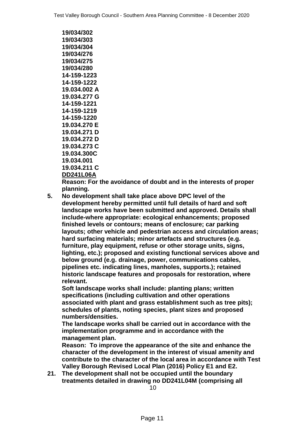**19/034/302 19/034/303 19/034/304 19/034/276 19/034/275 19/034/280 14-159-1223 14-159-1222 19.034.002 A 19.034.277 G 14-159-1221 14-159-1219 14-159-1220 19.034.270 E 19.034.271 D 19.034.272 D 19.034.273 C 19.034.300C 19.034.001 19.034.211 C DD241L06A**

**Reason: For the avoidance of doubt and in the interests of proper planning.**

**5. No development shall take place above DPC level of the development hereby permitted until full details of hard and soft landscape works have been submitted and approved. Details shall include-where appropriate: ecological enhancements; proposed finished levels or contours; means of enclosure; car parking layouts; other vehicle and pedestrian access and circulation areas; hard surfacing materials; minor artefacts and structures (e.g. furniture, play equipment, refuse or other storage units, signs, lighting, etc.); proposed and existing functional services above and below ground (e.g. drainage, power, communications cables, pipelines etc. indicating lines, manholes, supports.); retained historic landscape features and proposals for restoration, where relevant.**

**Soft landscape works shall include: planting plans; written specifications (including cultivation and other operations associated with plant and grass establishment such as tree pits); schedules of plants, noting species, plant sizes and proposed numbers/densities.**

**The landscape works shall be carried out in accordance with the implementation programme and in accordance with the management plan.**

**Reason: To improve the appearance of the site and enhance the character of the development in the interest of visual amenity and contribute to the character of the local area in accordance with Test Valley Borough Revised Local Plan (2016) Policy E1 and E2.**

**21. The development shall not be occupied until the boundary treatments detailed in drawing no DD241L04M (comprising all** 

10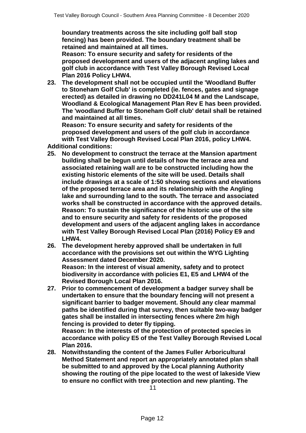**boundary treatments across the site including golf ball stop fencing) has been provided. The boundary treatment shall be retained and maintained at all times.** 

**Reason: To ensure security and safety for residents of the proposed development and users of the adjacent angling lakes and golf club in accordance with Test Valley Borough Revised Local Plan 2016 Policy LHW4.**

**23. The development shall not be occupied until the 'Woodland Buffer to Stoneham Golf Club' is completed (ie. fences, gates and signage erected) as detailed in drawing no DD241L04 M and the Landscape, Woodland & Ecological Management Plan Rev E has been provided. The 'woodland Buffer to Stoneham Golf club' detail shall be retained and maintained at all times.** 

**Reason: To ensure security and safety for residents of the proposed development and users of the golf club in accordance with Test Valley Borough Revised Local Plan 2016, policy LHW4. Additional conditions:**

- **25. No development to construct the terrace at the Mansion apartment building shall be begun until details of how the terrace area and associated retaining wall are to be constructed including how the existing historic elements of the site will be used. Details shall include drawings at a scale of 1:50 showing sections and elevations of the proposed terrace area and its relationship with the Angling lake and surrounding land to the south. The terrace and associated works shall be constructed in accordance with the approved details. Reason: To sustain the significance of the historic use of the site and to ensure security and safety for residents of the proposed development and users of the adjacent angling lakes in accordance with Test Valley Borough Revised Local Plan (2016) Policy E9 and LHW4.**
- **26. The development hereby approved shall be undertaken in full accordance with the provisions set out within the WYG Lighting Assessment dated December 2020. Reason: In the interest of visual amenity, safety and to protect biodiversity in accordance with policies E1, E5 and LHW4 of the Revised Borough Local Plan 2016.**
- **27. Prior to commencement of development a badger survey shall be undertaken to ensure that the boundary fencing will not present a significant barrier to badger movement. Should any clear mammal paths be identified during that survey, then suitable two-way badger gates shall be installed in intersecting fences where 2m high fencing is provided to deter fly tipping.**

**Reason: In the interests of the protection of protected species in accordance with policy E5 of the Test Valley Borough Revised Local Plan 2016.**

**28. Notwithstanding the content of the James Fuller Arboricultural Method Statement and report an appropriately annotated plan shall be submitted to and approved by the Local planning Authority showing the routing of the pipe located to the west of lakeside View to ensure no conflict with tree protection and new planting. The**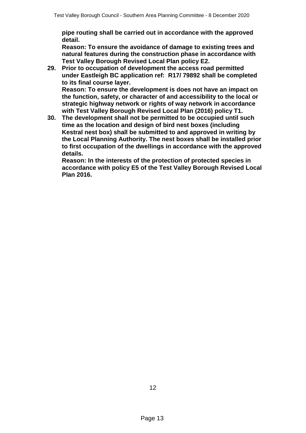**pipe routing shall be carried out in accordance with the approved detail.** 

**Reason: To ensure the avoidance of damage to existing trees and natural features during the construction phase in accordance with Test Valley Borough Revised Local Plan policy E2.**

**29. Prior to occupation of development the access road permitted under Eastleigh BC application ref: R17/ 79892 shall be completed to its final course layer. Reason: To ensure the development is does not have an impact on** 

**the function, safety, or character of and accessibility to the local or strategic highway network or rights of way network in accordance with Test Valley Borough Revised Local Plan (2016) policy T1.**

**30. The development shall not be permitted to be occupied until such time as the location and design of bird nest boxes (including Kestral nest box) shall be submitted to and approved in writing by the Local Planning Authority. The nest boxes shall be installed prior to first occupation of the dwellings in accordance with the approved details.** 

**Reason: In the interests of the protection of protected species in accordance with policy E5 of the Test Valley Borough Revised Local Plan 2016.**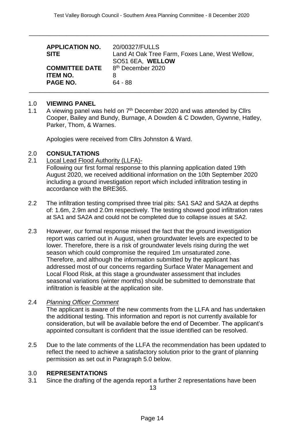\_\_\_\_\_\_\_\_\_\_\_\_\_\_\_\_\_\_\_\_\_\_\_\_\_\_\_\_\_\_\_\_\_\_\_\_\_\_\_\_\_\_\_\_\_\_\_\_\_\_\_\_\_\_\_\_\_\_\_\_\_\_\_\_\_\_\_\_\_\_

| <b>APPLICATION NO.</b><br><b>SITE</b>                                                     | 20/00327/FULLS<br>Land At Oak Tree Farm, Foxes Lane, West Wellow,<br>SO51 6EA, WELLOW |
|-------------------------------------------------------------------------------------------|---------------------------------------------------------------------------------------|
| <b>COMMITTEE DATE</b> 8 <sup>th</sup> December 2020<br><b>ITEM NO.</b><br><b>PAGE NO.</b> | 8<br>$64 - 88$                                                                        |

#### 1.0 **VIEWING PANEL**

1.1 A viewing panel was held on 7<sup>th</sup> December 2020 and was attended by Cllrs Cooper, Bailey and Bundy, Burnage, A Dowden & C Dowden, Gywnne, Hatley, Parker, Thom, & Warnes.

Apologies were received from Cllrs Johnston & Ward.

#### 2.0 **CONSULTATIONS**

2.1 Local Lead Flood Authority (LLFA)-

Following our first formal response to this planning application dated 19th August 2020, we received additional information on the 10th September 2020 including a ground investigation report which included infiltration testing in accordance with the BRE365.

- 2.2 The infiltration testing comprised three trial pits: SA1 SA2 and SA2A at depths of: 1.6m, 2.9m and 2.0m respectively. The testing showed good infiltration rates at SA1 and SA2A and could not be completed due to collapse issues at SA2.
- 2.3 However, our formal response missed the fact that the ground investigation report was carried out in August, when groundwater levels are expected to be lower. Therefore, there is a risk of groundwater levels rising during the wet season which could compromise the required 1m unsaturated zone. Therefore, and although the information submitted by the applicant has addressed most of our concerns regarding Surface Water Management and Local Flood Risk, at this stage a groundwater assessment that includes seasonal variations (winter months) should be submitted to demonstrate that infiltration is feasible at the application site.

#### 2.4 *Planning Officer Comment*

The applicant is aware of the new comments from the LLFA and has undertaken the additional testing. This information and report is not currently available for consideration, but will be available before the end of December. The applicant's appointed consultant is confident that the issue identified can be resolved.

2.5 Due to the late comments of the LLFA the recommendation has been updated to reflect the need to achieve a satisfactory solution prior to the grant of planning permission as set out in Paragraph 5.0 below.

#### 3.0 **REPRESENTATIONS**

3.1 Since the drafting of the agenda report a further 2 representations have been

13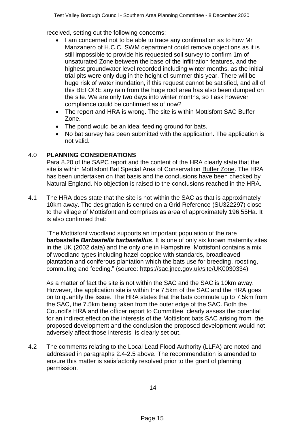received, setting out the following concerns:

- I am concerned not to be able to trace any confirmation as to how Mr Manzanero of H.C.C. SWM department could remove objections as it is still impossible to provide his requested soil survey to confirm 1m of unsaturated Zone between the base of the infiltration features, and the highest groundwater level recorded including winter months, as the initial trial pits were only dug in the height of summer this year. There will be huge risk of water inundation, if this request cannot be satisfied, and all of this BEFORE any rain from the huge roof area has also been dumped on the site. We are only two days into winter months, so I ask however compliance could be confirmed as of now?
- The report and HRA is wrong. The site is within Mottisfont SAC Buffer Zone.
- The pond would be an ideal feeding ground for bats.
- No bat survey has been submitted with the application. The application is not valid.

## 4.0 **PLANNING CONSIDERATIONS**

Para 8.20 of the SAPC report and the content of the HRA clearly state that the site is within Mottisfont Bat Special Area of Conservation Buffer Zone. The HRA has been undertaken on that basis and the conclusions have been checked by Natural England. No objection is raised to the conclusions reached in the HRA.

4.1 The HRA does state that the site is not within the SAC as that is approximately 10km away. The designation is centred on a Grid Reference (SU322297) close to the village of Mottisfont and comprises as area of approximately 196.55Ha. It is also confirmed that:

"The Mottisfont woodland supports an important population of the rare **barbastelle** *Barbastella barbastellus.* It is one of only six known maternity sites in the UK (2002 data) and the only one in Hampshire. Mottisfont contains a mix of woodland types including hazel coppice with standards, broadleaved plantation and coniferous plantation which the bats use for breeding, roosting, commuting and feeding." (source: [https://sac.jncc.gov.uk/site/UK0030334\)](https://sac.jncc.gov.uk/site/UK0030334)

As a matter of fact the site is not within the SAC and the SAC is 10km away. However, the application site is within the 7.5km of the SAC and the HRA goes on to quantify the issue. The HRA states that the bats commute up to 7.5km from the SAC, the 7.5km being taken from the outer edge of the SAC. Both the Council's HRA and the officer report to Committee clearly assess the potential for an indirect effect on the interests of the Mottisfont bats SAC arising from the proposed development and the conclusion the proposed development would not adversely affect those interests is clearly set out.

4.2 The comments relating to the Local Lead Flood Authority (LLFA) are noted and addressed in paragraphs 2.4-2.5 above. The recommendation is amended to ensure this matter is satisfactorily resolved prior to the grant of planning permission.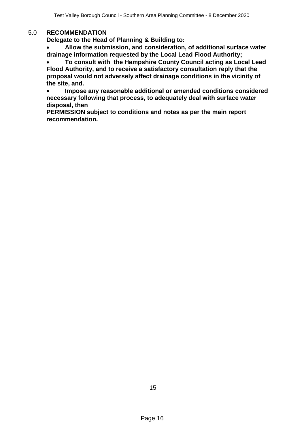#### 5.0 **RECOMMENDATION**

**Delegate to the Head of Planning & Building to:**

 **Allow the submission, and consideration, of additional surface water drainage information requested by the Local Lead Flood Authority;** 

 **To consult with the Hampshire County Council acting as Local Lead Flood Authority, and to receive a satisfactory consultation reply that the proposal would not adversely affect drainage conditions in the vicinity of the site, and.**

 **Impose any reasonable additional or amended conditions considered necessary following that process, to adequately deal with surface water disposal, then** 

**PERMISSION subject to conditions and notes as per the main report recommendation.**